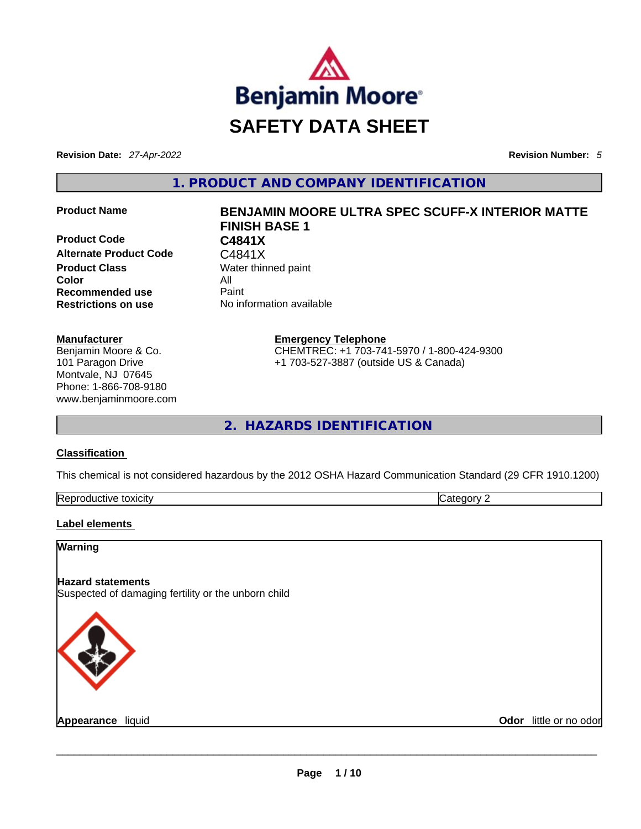

**Revision Date:** *27-Apr-2022* **Revision Number:** *5*

**1. PRODUCT AND COMPANY IDENTIFICATION** 

**Product Code C4841X**  Alternate Product Code **C4841X Product Class Water thinned paint Color** All **Recommended use** Paint **Restrictions on use** No information available

#### **Manufacturer**

Benjamin Moore & Co. 101 Paragon Drive Montvale, NJ 07645 Phone: 1-866-708-9180 www.benjaminmoore.com

# **Product Name BENJAMIN MOORE ULTRA SPEC SCUFF-X INTERIOR MATTE FINISH BASE 1**

**Emergency Telephone** CHEMTREC: +1 703-741-5970 / 1-800-424-9300 +1 703-527-3887 (outside US & Canada)

**2. HAZARDS IDENTIFICATION** 

#### **Classification**

This chemical is not considered hazardous by the 2012 OSHA Hazard Communication Standard (29 CFR 1910.1200)

| Repro<br>toxicity<br>. л н н с<br>auv⊨ | --<br> |  |
|----------------------------------------|--------|--|
|                                        |        |  |

#### **Label elements**

**Warning** 

#### **Hazard statements**

Suspected of damaging fertility or the unborn child



**Appearance** liquid **Odor** little or no odor \_\_\_\_\_\_\_\_\_\_\_\_\_\_\_\_\_\_\_\_\_\_\_\_\_\_\_\_\_\_\_\_\_\_\_\_\_\_\_\_\_\_\_\_\_\_\_\_\_\_\_\_\_\_\_\_\_\_\_\_\_\_\_\_\_\_\_\_\_\_\_\_\_\_\_\_\_\_\_\_\_\_\_\_\_\_\_\_\_\_\_\_\_

 $\overline{\phantom{0}}$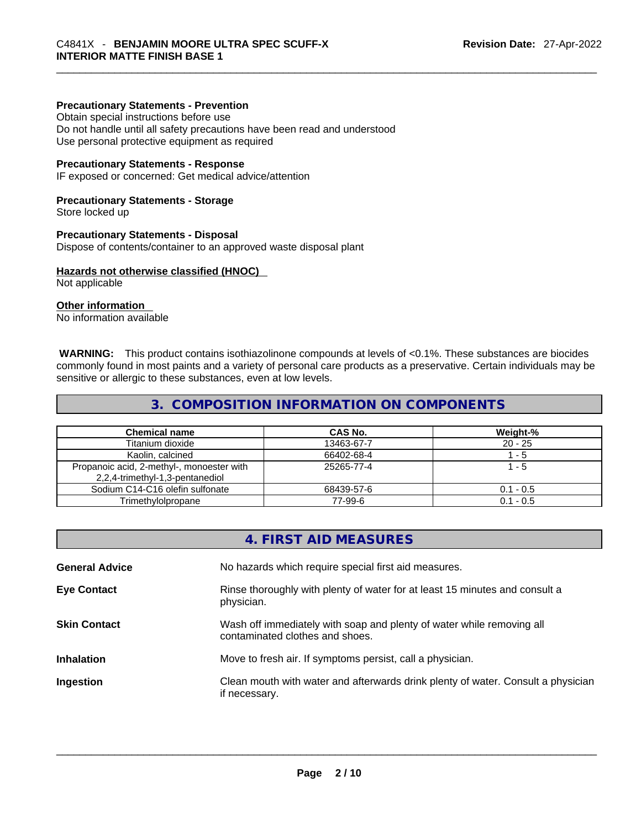#### **Precautionary Statements - Prevention**

Obtain special instructions before use

Do not handle until all safety precautions have been read and understood Use personal protective equipment as required

#### **Precautionary Statements - Response**

IF exposed or concerned: Get medical advice/attention

#### **Precautionary Statements - Storage**

Store locked up

#### **Precautionary Statements - Disposal**

Dispose of contents/container to an approved waste disposal plant

#### **Hazards not otherwise classified (HNOC)**

Not applicable

#### **Other information**

No information available

 **WARNING:** This product contains isothiazolinone compounds at levels of <0.1%. These substances are biocides commonly found in most paints and a variety of personal care products as a preservative. Certain individuals may be sensitive or allergic to these substances, even at low levels.

#### **3. COMPOSITION INFORMATION ON COMPONENTS**

| <b>Chemical name</b>                                                         | CAS No.    | Weight-%    |
|------------------------------------------------------------------------------|------------|-------------|
| Titanium dioxide                                                             | 13463-67-7 | $20 - 25$   |
| Kaolin, calcined                                                             | 66402-68-4 | - 5         |
| Propanoic acid, 2-methyl-, monoester with<br>2,2,4-trimethyl-1,3-pentanediol | 25265-77-4 | 1 - 5       |
| Sodium C14-C16 olefin sulfonate                                              | 68439-57-6 | $0.1 - 0.5$ |
| Trimethylolpropane                                                           | 77-99-6    | $0.1 - 0.5$ |

|                       | 4. FIRST AID MEASURES                                                                                    |
|-----------------------|----------------------------------------------------------------------------------------------------------|
| <b>General Advice</b> | No hazards which require special first aid measures.                                                     |
| <b>Eye Contact</b>    | Rinse thoroughly with plenty of water for at least 15 minutes and consult a<br>physician.                |
| <b>Skin Contact</b>   | Wash off immediately with soap and plenty of water while removing all<br>contaminated clothes and shoes. |
| <b>Inhalation</b>     | Move to fresh air. If symptoms persist, call a physician.                                                |
| Ingestion             | Clean mouth with water and afterwards drink plenty of water. Consult a physician<br>if necessary.        |
|                       |                                                                                                          |
|                       |                                                                                                          |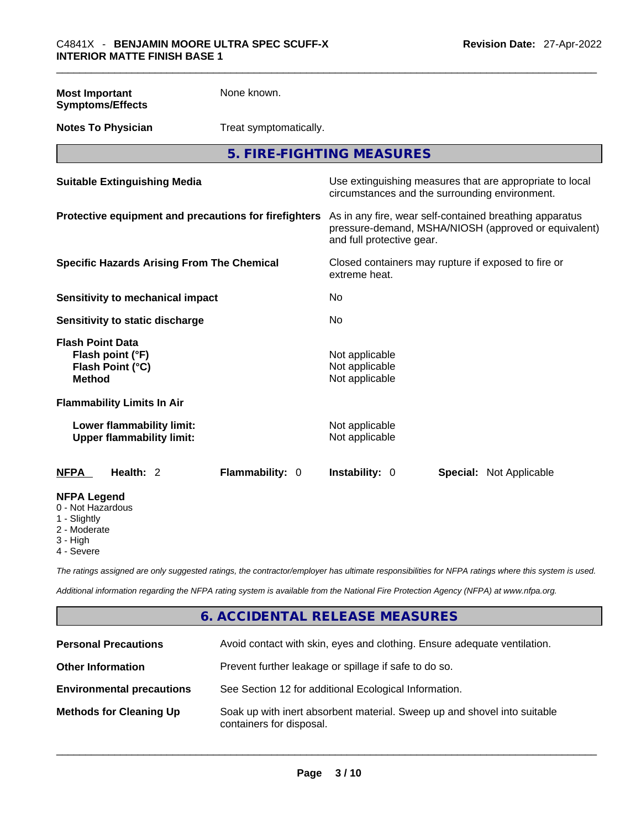| <b>Most Important</b><br><b>Symptoms/Effects</b>                                 | None known.            |                                                                                                                                              |                                                                                                            |  |
|----------------------------------------------------------------------------------|------------------------|----------------------------------------------------------------------------------------------------------------------------------------------|------------------------------------------------------------------------------------------------------------|--|
| <b>Notes To Physician</b>                                                        | Treat symptomatically. |                                                                                                                                              |                                                                                                            |  |
|                                                                                  |                        | 5. FIRE-FIGHTING MEASURES                                                                                                                    |                                                                                                            |  |
| <b>Suitable Extinguishing Media</b>                                              |                        |                                                                                                                                              | Use extinguishing measures that are appropriate to local<br>circumstances and the surrounding environment. |  |
| Protective equipment and precautions for firefighters                            |                        | As in any fire, wear self-contained breathing apparatus<br>pressure-demand, MSHA/NIOSH (approved or equivalent)<br>and full protective gear. |                                                                                                            |  |
| <b>Specific Hazards Arising From The Chemical</b>                                |                        | Closed containers may rupture if exposed to fire or<br>extreme heat.                                                                         |                                                                                                            |  |
| Sensitivity to mechanical impact                                                 |                        | No                                                                                                                                           |                                                                                                            |  |
| Sensitivity to static discharge                                                  |                        | No                                                                                                                                           |                                                                                                            |  |
| <b>Flash Point Data</b><br>Flash point (°F)<br>Flash Point (°C)<br><b>Method</b> |                        | Not applicable<br>Not applicable<br>Not applicable                                                                                           |                                                                                                            |  |
| <b>Flammability Limits In Air</b>                                                |                        |                                                                                                                                              |                                                                                                            |  |
| Lower flammability limit:<br><b>Upper flammability limit:</b>                    |                        | Not applicable<br>Not applicable                                                                                                             |                                                                                                            |  |
| <b>NFPA</b><br>Health: 2                                                         | Flammability: 0        | Instability: 0                                                                                                                               | <b>Special: Not Applicable</b>                                                                             |  |
| <b>NFPA Legend</b><br>0 - Not Hazardous<br>1 - Slightly                          |                        |                                                                                                                                              |                                                                                                            |  |

- 2 Moderate
- 
- 3 High
- 4 Severe

*The ratings assigned are only suggested ratings, the contractor/employer has ultimate responsibilities for NFPA ratings where this system is used.* 

*Additional information regarding the NFPA rating system is available from the National Fire Protection Agency (NFPA) at www.nfpa.org.* 

# **6. ACCIDENTAL RELEASE MEASURES**

| <b>Personal Precautions</b>      | Avoid contact with skin, eyes and clothing. Ensure adequate ventilation.                             |
|----------------------------------|------------------------------------------------------------------------------------------------------|
| <b>Other Information</b>         | Prevent further leakage or spillage if safe to do so.                                                |
| <b>Environmental precautions</b> | See Section 12 for additional Ecological Information.                                                |
| <b>Methods for Cleaning Up</b>   | Soak up with inert absorbent material. Sweep up and shovel into suitable<br>containers for disposal. |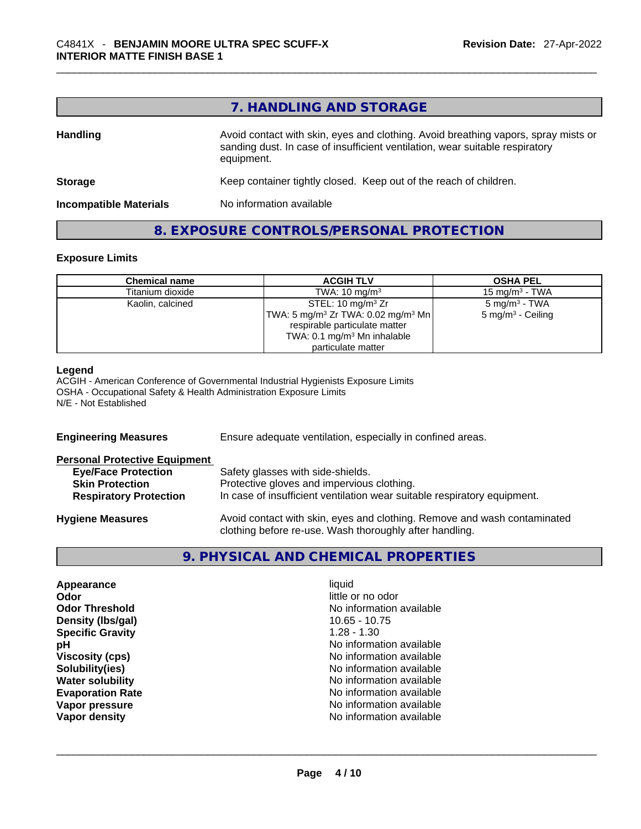# **7. HANDLING AND STORAGE**

| <b>Handling</b>               | Avoid contact with skin, eyes and clothing. Avoid breathing vapors, spray mists or<br>sanding dust. In case of insufficient ventilation, wear suitable respiratory<br>equipment. |  |
|-------------------------------|----------------------------------------------------------------------------------------------------------------------------------------------------------------------------------|--|
| <b>Storage</b>                | Keep container tightly closed. Keep out of the reach of children.                                                                                                                |  |
| <b>Incompatible Materials</b> | No information available                                                                                                                                                         |  |

#### **8. EXPOSURE CONTROLS/PERSONAL PROTECTION**

#### **Exposure Limits**

| <b>Chemical name</b> | <b>ACGIH TLV</b>                                         | <b>OSHA PEL</b>              |
|----------------------|----------------------------------------------------------|------------------------------|
| Titanium dioxide     | TWA: $10 \text{ mg/m}^3$                                 | 15 mg/m $3$ - TWA            |
| Kaolin, calcined     | STEL: 10 mg/m $3$ Zr                                     | $5 \text{ mg/m}^3$ - TWA     |
|                      | $ TWA: 5 \text{ ma/m}^3 Zr TWA: 0.02 \text{ ma/m}^3 Mn $ | $5 \text{ mg/m}^3$ - Ceiling |
|                      | respirable particulate matter                            |                              |
|                      | TWA: 0.1 mg/m <sup>3</sup> Mn inhalable                  |                              |
|                      | particulate matter                                       |                              |

#### **Legend**

ACGIH - American Conference of Governmental Industrial Hygienists Exposure Limits OSHA - Occupational Safety & Health Administration Exposure Limits N/E - Not Established

| <b>Engineering Measures</b>                                                                                                   | Ensure adequate ventilation, especially in confined areas.                                                                                                  |  |  |
|-------------------------------------------------------------------------------------------------------------------------------|-------------------------------------------------------------------------------------------------------------------------------------------------------------|--|--|
| <b>Personal Protective Equipment</b><br><b>Eye/Face Protection</b><br><b>Skin Protection</b><br><b>Respiratory Protection</b> | Safety glasses with side-shields.<br>Protective gloves and impervious clothing.<br>In case of insufficient ventilation wear suitable respiratory equipment. |  |  |
| <b>Hygiene Measures</b>                                                                                                       | Avoid contact with skin, eyes and clothing. Remove and wash contaminated<br>clothing before re-use. Wash thoroughly after handling.                         |  |  |

#### **9. PHYSICAL AND CHEMICAL PROPERTIES**

| Appearance              | liquid            |
|-------------------------|-------------------|
| Odor                    | little or no odor |
| <b>Odor Threshold</b>   | No information av |
| Density (Ibs/gal)       | $10.65 - 10.75$   |
| <b>Specific Gravity</b> | $1.28 - 1.30$     |
| рH                      | No information av |
| <b>Viscosity (cps)</b>  | No information av |
| Solubility(ies)         | No information av |
| <b>Water solubility</b> | No information av |
| <b>Evaporation Rate</b> | No information av |
| Vapor pressure          | No information av |
| Vapor density           | No information av |

little or no odor **No information available Density (lbs/gal)** 10.65 - 10.75 **Specific Gravity** 1.28 - 1.30 **No information available Viscosity (cps)** No information available **No information available No information available Evaporation Rate** No information available **No information available**<br>**No information available Vapor density** No information available \_\_\_\_\_\_\_\_\_\_\_\_\_\_\_\_\_\_\_\_\_\_\_\_\_\_\_\_\_\_\_\_\_\_\_\_\_\_\_\_\_\_\_\_\_\_\_\_\_\_\_\_\_\_\_\_\_\_\_\_\_\_\_\_\_\_\_\_\_\_\_\_\_\_\_\_\_\_\_\_\_\_\_\_\_\_\_\_\_\_\_\_\_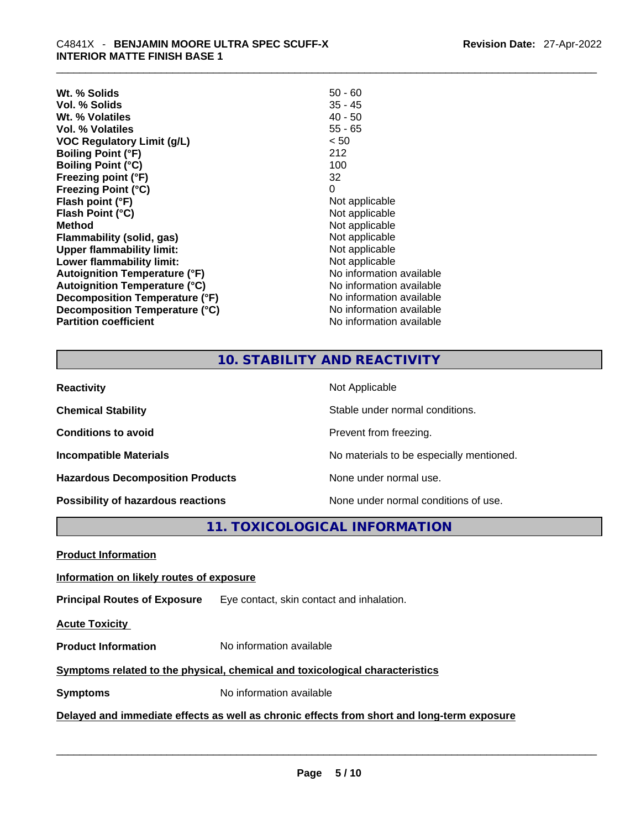| Wt. % Solids                         | $50 - 60$                |
|--------------------------------------|--------------------------|
| Vol. % Solids                        | $35 - 45$                |
| Wt. % Volatiles                      | $40 - 50$                |
| Vol. % Volatiles                     | $55 - 65$                |
| VOC Regulatory Limit (g/L)           | < 50                     |
| <b>Boiling Point (°F)</b>            | 212                      |
| <b>Boiling Point (°C)</b>            | 100                      |
| Freezing point (°F)                  | 32                       |
| <b>Freezing Point (°C)</b>           | 0                        |
| Flash point (°F)                     | Not applicable           |
| Flash Point (°C)                     | Not applicable           |
| <b>Method</b>                        | Not applicable           |
| Flammability (solid, gas)            | Not applicable           |
| <b>Upper flammability limit:</b>     | Not applicable           |
| Lower flammability limit:            | Not applicable           |
| <b>Autoignition Temperature (°F)</b> | No information available |
| <b>Autoignition Temperature (°C)</b> | No information available |
| Decomposition Temperature (°F)       | No information available |
| Decomposition Temperature (°C)       | No information available |
| <b>Partition coefficient</b>         | No information available |

# **10. STABILITY AND REACTIVITY**

| <b>Reactivity</b>                       | Not Applicable                           |
|-----------------------------------------|------------------------------------------|
| <b>Chemical Stability</b>               | Stable under normal conditions.          |
| <b>Conditions to avoid</b>              | Prevent from freezing.                   |
| <b>Incompatible Materials</b>           | No materials to be especially mentioned. |
| <b>Hazardous Decomposition Products</b> | None under normal use.                   |
| Possibility of hazardous reactions      | None under normal conditions of use.     |

# **11. TOXICOLOGICAL INFORMATION**

| <b>Product Information</b>                                                                 |                                           |  |  |  |
|--------------------------------------------------------------------------------------------|-------------------------------------------|--|--|--|
| Information on likely routes of exposure                                                   |                                           |  |  |  |
| <b>Principal Routes of Exposure</b>                                                        | Eye contact, skin contact and inhalation. |  |  |  |
| <b>Acute Toxicity</b>                                                                      |                                           |  |  |  |
| <b>Product Information</b>                                                                 | No information available                  |  |  |  |
| Symptoms related to the physical, chemical and toxicological characteristics               |                                           |  |  |  |
| <b>Symptoms</b>                                                                            | No information available                  |  |  |  |
| Delayed and immediate effects as well as chronic effects from short and long-term exposure |                                           |  |  |  |
|                                                                                            |                                           |  |  |  |
|                                                                                            |                                           |  |  |  |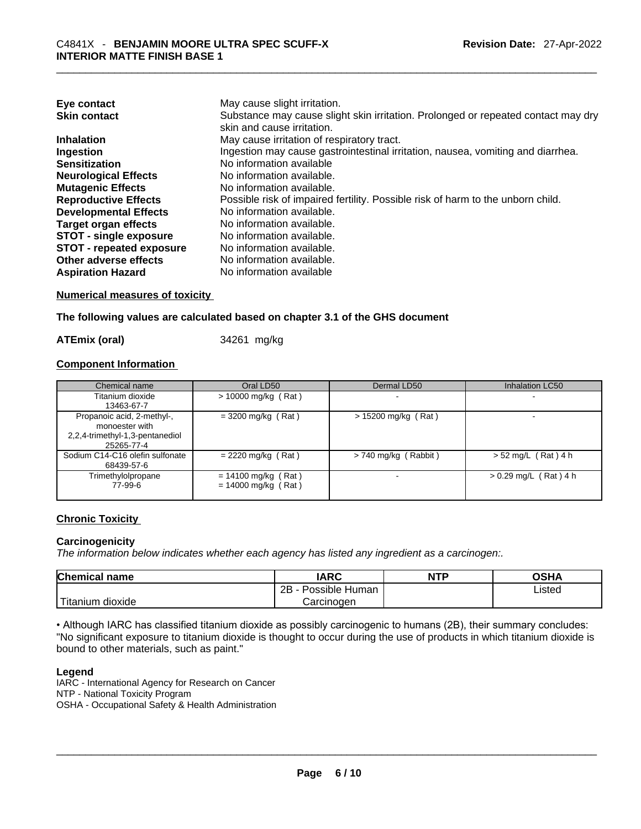| Eye contact                     | May cause slight irritation.                                                      |
|---------------------------------|-----------------------------------------------------------------------------------|
| <b>Skin contact</b>             | Substance may cause slight skin irritation. Prolonged or repeated contact may dry |
|                                 | skin and cause irritation.                                                        |
| <b>Inhalation</b>               | May cause irritation of respiratory tract.                                        |
| Ingestion                       | Ingestion may cause gastrointestinal irritation, nausea, vomiting and diarrhea.   |
| <b>Sensitization</b>            | No information available                                                          |
| <b>Neurological Effects</b>     | No information available.                                                         |
| <b>Mutagenic Effects</b>        | No information available.                                                         |
| <b>Reproductive Effects</b>     | Possible risk of impaired fertility. Possible risk of harm to the unborn child.   |
| <b>Developmental Effects</b>    | No information available.                                                         |
| Target organ effects            | No information available.                                                         |
| <b>STOT - single exposure</b>   | No information available.                                                         |
| <b>STOT - repeated exposure</b> | No information available.                                                         |
| Other adverse effects           | No information available.                                                         |
| <b>Aspiration Hazard</b>        | No information available                                                          |

**Numerical measures of toxicity**

#### **The following values are calculated based on chapter 3.1 of the GHS document**

**ATEmix (oral)** 34261 mg/kg

#### **Component Information**

| Chemical name                                                                                 | Oral LD50                                      | Dermal LD50            | <b>Inhalation LC50</b>  |
|-----------------------------------------------------------------------------------------------|------------------------------------------------|------------------------|-------------------------|
| Titanium dioxide<br>13463-67-7                                                                | $> 10000$ mg/kg (Rat)                          |                        |                         |
| Propanoic acid, 2-methyl-,<br>monoester with<br>2,2,4-trimethyl-1,3-pentanediol<br>25265-77-4 | $= 3200$ mg/kg (Rat)                           | $> 15200$ mg/kg (Rat)  |                         |
| Sodium C14-C16 olefin sulfonate<br>68439-57-6                                                 | $= 2220$ mg/kg (Rat)                           | $> 740$ mg/kg (Rabbit) | $> 52$ mg/L (Rat) 4 h   |
| Trimethylolpropane<br>77-99-6                                                                 | $= 14100$ mg/kg (Rat)<br>$= 14000$ mg/kg (Rat) |                        | $> 0.29$ mg/L (Rat) 4 h |

#### **Chronic Toxicity**

#### **Carcinogenicity**

*The information below indicates whether each agency has listed any ingredient as a carcinogen:.* 

| <b>Chemical name</b>  | IARC                 | <b>NTP</b> | OSHA   |
|-----------------------|----------------------|------------|--------|
|                       | 2B<br>Possible Human |            | Listed |
| Titanium J<br>dioxide | Carcinogen           |            |        |

• Although IARC has classified titanium dioxide as possibly carcinogenic to humans (2B), their summary concludes: "No significant exposure to titanium dioxide is thought to occur during the use of products in which titanium dioxide is bound to other materials, such as paint."

#### **Legend**

IARC - International Agency for Research on Cancer NTP - National Toxicity Program OSHA - Occupational Safety & Health Administration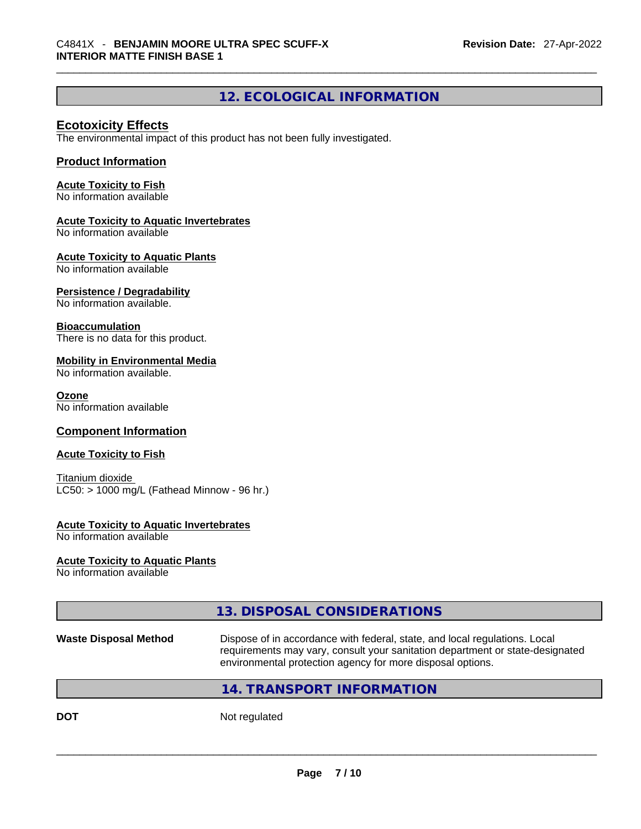# **12. ECOLOGICAL INFORMATION**

#### **Ecotoxicity Effects**

The environmental impact of this product has not been fully investigated.

#### **Product Information**

#### **Acute Toxicity to Fish**

No information available

#### **Acute Toxicity to Aquatic Invertebrates**

No information available

#### **Acute Toxicity to Aquatic Plants**

No information available

#### **Persistence / Degradability**

No information available.

#### **Bioaccumulation**

There is no data for this product.

#### **Mobility in Environmental Media**

No information available.

#### **Ozone**

No information available

#### **Component Information**

#### **Acute Toxicity to Fish**

Titanium dioxide  $LC50:$  > 1000 mg/L (Fathead Minnow - 96 hr.)

#### **Acute Toxicity to Aquatic Invertebrates**

No information available

#### **Acute Toxicity to Aquatic Plants**

No information available

# **13. DISPOSAL CONSIDERATIONS**

#### **Waste Disposal Method** Dispose of in accordance with federal, state, and local regulations. Local requirements may vary, consult your sanitation department or state-designated environmental protection agency for more disposal options.

### **14. TRANSPORT INFORMATION**

**DOT** Not regulated  $\blacksquare$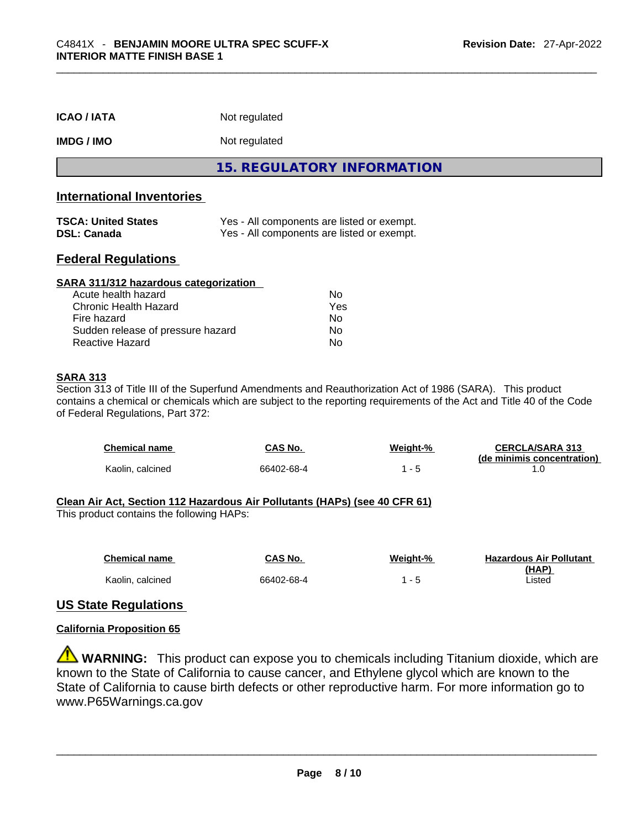| <b>ICAO/IATA</b>                                 | Not regulated<br>Not regulated                                                           |  |  |
|--------------------------------------------------|------------------------------------------------------------------------------------------|--|--|
| <b>IMDG / IMO</b>                                |                                                                                          |  |  |
|                                                  | 15. REGULATORY INFORMATION                                                               |  |  |
| <b>International Inventories</b>                 |                                                                                          |  |  |
| <b>TSCA: United States</b><br><b>DSL: Canada</b> | Yes - All components are listed or exempt.<br>Yes - All components are listed or exempt. |  |  |

#### **Federal Regulations**

| SARA 311/312 hazardous categorization |     |  |
|---------------------------------------|-----|--|
| Acute health hazard                   | Nο  |  |
| Chronic Health Hazard                 | Yes |  |
| Fire hazard                           | No  |  |
| Sudden release of pressure hazard     | Nο  |  |
| Reactive Hazard                       | No  |  |

#### **SARA 313**

Section 313 of Title III of the Superfund Amendments and Reauthorization Act of 1986 (SARA). This product contains a chemical or chemicals which are subject to the reporting requirements of the Act and Title 40 of the Code of Federal Regulations, Part 372:

| <b>Chemical name</b> | CAS No.    | Weight-% | <b>CERCLA/SARA 313</b><br>(de minimis concentration) |
|----------------------|------------|----------|------------------------------------------------------|
| Kaolin, calcined     | 66402-68-4 |          |                                                      |

#### **Clean Air Act,Section 112 Hazardous Air Pollutants (HAPs) (see 40 CFR 61)**

This product contains the following HAPs:

| <b>Chemical name</b> | <b>CAS No.</b> | Weight-% | <b>Hazardous Air Pollutant</b> |
|----------------------|----------------|----------|--------------------------------|
|                      |                |          | (HAP)                          |
| Kaolin, calcined     | 66402-68-4     |          | _isted                         |

#### **US State Regulations**

#### **California Proposition 65**

**WARNING:** This product can expose you to chemicals including Titanium dioxide, which are known to the State of California to cause cancer, and Ethylene glycol which are known to the State of California to cause birth defects or other reproductive harm. For more information go to www.P65Warnings.ca.gov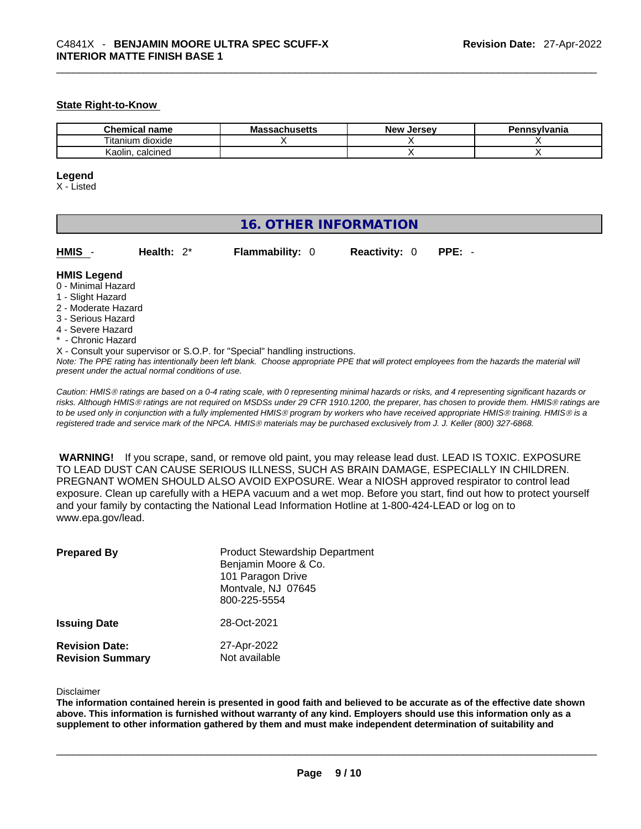#### **State Right-to-Know**

| <b>Chemical</b><br>name | <b>Massachusetts</b> | Jersev<br><b>Nev</b> | าnsvlvania |
|-------------------------|----------------------|----------------------|------------|
| <br>dioxide<br>itanium  |                      |                      |            |
| Kaolin<br>calcined      |                      |                      |            |

#### **Legend**

X - Listed

# **16. OTHER INFORMATION**

**HMIS** - **Health:** 2\* **Flammability:** 0 **Reactivity:** 0 **PPE:** -

#### **HMIS Legend**

- 0 Minimal Hazard
- 1 Slight Hazard
- 2 Moderate Hazard
- 3 Serious Hazard
- 4 Severe Hazard
- \* Chronic Hazard
- X Consult your supervisor or S.O.P. for "Special" handling instructions.

Note: The PPE rating has intentionally been left blank. Choose appropriate PPE that will protect employees from the hazards the material will *present under the actual normal conditions of use.* 

*Caution: HMISÒ ratings are based on a 0-4 rating scale, with 0 representing minimal hazards or risks, and 4 representing significant hazards or risks. Although HMISÒ ratings are not required on MSDSs under 29 CFR 1910.1200, the preparer, has chosen to provide them. HMISÒ ratings are to be used only in conjunction with a fully implemented HMISÒ program by workers who have received appropriate HMISÒ training. HMISÒ is a registered trade and service mark of the NPCA. HMISÒ materials may be purchased exclusively from J. J. Keller (800) 327-6868.* 

 **WARNING!** If you scrape, sand, or remove old paint, you may release lead dust. LEAD IS TOXIC. EXPOSURE TO LEAD DUST CAN CAUSE SERIOUS ILLNESS, SUCH AS BRAIN DAMAGE, ESPECIALLY IN CHILDREN. PREGNANT WOMEN SHOULD ALSO AVOID EXPOSURE.Wear a NIOSH approved respirator to control lead exposure. Clean up carefully with a HEPA vacuum and a wet mop. Before you start, find out how to protect yourself and your family by contacting the National Lead Information Hotline at 1-800-424-LEAD or log on to www.epa.gov/lead.

| <b>Prepared By</b>                               | <b>Product Stewardship Department</b><br>Benjamin Moore & Co.<br>101 Paragon Drive<br>Montvale, NJ 07645<br>800-225-5554 |
|--------------------------------------------------|--------------------------------------------------------------------------------------------------------------------------|
| <b>Issuing Date</b>                              | 28-Oct-2021                                                                                                              |
| <b>Revision Date:</b><br><b>Revision Summary</b> | 27-Apr-2022<br>Not available                                                                                             |

#### Disclaimer

The information contained herein is presented in good faith and believed to be accurate as of the effective date shown above. This information is furnished without warranty of any kind. Employers should use this information only as a **supplement to other information gathered by them and must make independent determination of suitability and**